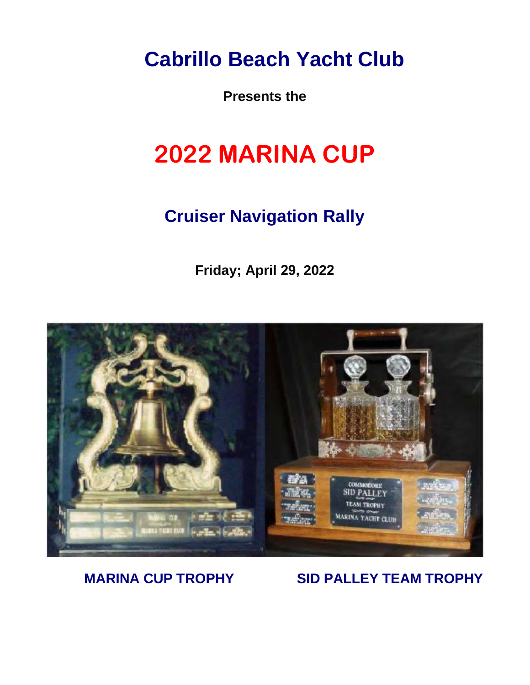**Cabrillo Beach Yacht Club**

**Presents the** 

# **2022 MARINA CUP**

## **Cruiser Navigation Rally**

**Friday; April 29, 2022**



### **MARINA CUP TROPHY SID PALLEY TEAM TROPHY**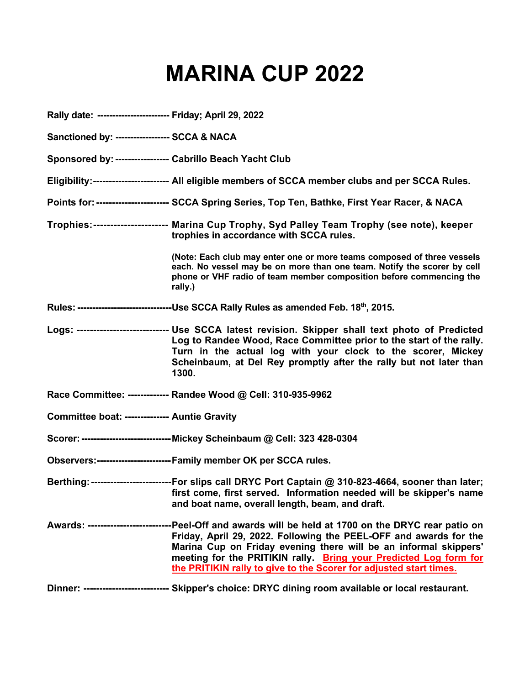# **MARINA CUP 2022**

| Rally date: ------------------------ Friday; April 29, 2022 |                                                                                                                                                                                                                                                                                                                                                                                           |
|-------------------------------------------------------------|-------------------------------------------------------------------------------------------------------------------------------------------------------------------------------------------------------------------------------------------------------------------------------------------------------------------------------------------------------------------------------------------|
| Sanctioned by: ------------------ SCCA & NACA               |                                                                                                                                                                                                                                                                                                                                                                                           |
| Sponsored by: ----------------- Cabrillo Beach Yacht Club   |                                                                                                                                                                                                                                                                                                                                                                                           |
|                                                             | Eligibility:------------------------ All eligible members of SCCA member clubs and per SCCA Rules.                                                                                                                                                                                                                                                                                        |
|                                                             | Points for: ---------------------- SCCA Spring Series, Top Ten, Bathke, First Year Racer, & NACA                                                                                                                                                                                                                                                                                          |
|                                                             | Trophies:--------------------- Marina Cup Trophy, Syd Palley Team Trophy (see note), keeper<br>trophies in accordance with SCCA rules.                                                                                                                                                                                                                                                    |
|                                                             | (Note: Each club may enter one or more teams composed of three vessels<br>each. No vessel may be on more than one team. Notify the scorer by cell<br>phone or VHF radio of team member composition before commencing the<br>rally.)                                                                                                                                                       |
|                                                             | Rules: -------------------------------Use SCCA Rally Rules as amended Feb. 18 <sup>th</sup> , 2015.                                                                                                                                                                                                                                                                                       |
|                                                             | Logs: ---------------------------- Use SCCA latest revision. Skipper shall text photo of Predicted<br>Log to Randee Wood, Race Committee prior to the start of the rally.<br>Turn in the actual log with your clock to the scorer, Mickey<br>Scheinbaum, at Del Rey promptly after the rally but not later than<br>1300.                                                                  |
|                                                             | Race Committee: ------------- Randee Wood @ Cell: 310-935-9962                                                                                                                                                                                                                                                                                                                            |
| Committee boat: -------------- Auntie Gravity               |                                                                                                                                                                                                                                                                                                                                                                                           |
|                                                             | Scorer: ------------------------------- Mickey Scheinbaum @ Cell: 323 428-0304                                                                                                                                                                                                                                                                                                            |
|                                                             | Observers:-------------------------Family member OK per SCCA rules.                                                                                                                                                                                                                                                                                                                       |
|                                                             | Berthing: --------------------------For slips call DRYC Port Captain @ 310-823-4664, sooner than later;<br>first come, first served. Information needed will be skipper's name<br>and boat name, overall length, beam, and draft.                                                                                                                                                         |
|                                                             | Awards: ---------------------------Peel-Off and awards will be held at 1700 on the DRYC rear patio on<br>Friday, April 29, 2022. Following the PEEL-OFF and awards for the<br>Marina Cup on Friday evening there will be an informal skippers'<br>meeting for the PRITIKIN rally. Bring your Predicted Log form for<br>the PRITIKIN rally to give to the Scorer for adjusted start times. |
|                                                             | Dinner: --------------------------- Skipper's choice: DRYC dining room available or local restaurant.                                                                                                                                                                                                                                                                                     |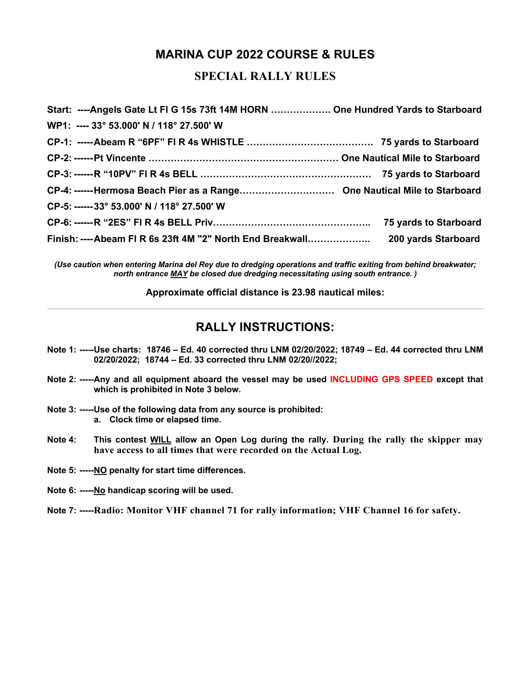### **MARINA CUP 2022 COURSE & RULES**

#### **SPECIAL RALLY RULES**

| Start: ----Angels Gate Lt FI G 15s 73ft 14M HORN  One Hundred Yards to Starboard |  |
|----------------------------------------------------------------------------------|--|
| WP1: ---- 33° 53.000' N / 118° 27.500' W                                         |  |
|                                                                                  |  |
|                                                                                  |  |
|                                                                                  |  |
|                                                                                  |  |
| CP-5: ------ 33° 53.000' N / 118° 27.500' W                                      |  |
|                                                                                  |  |
|                                                                                  |  |

*(Use caution when entering Marina del Rey due to dredging operations and traffic exiting from behind breakwater; north entrance MAY be closed due dredging necessitating using south entrance. )*

**Approximate official distance is 23.98 nautical miles:**

#### **RALLY INSTRUCTIONS:**

- **Note 1: -----Use charts: 18746 – Ed. 40 corrected thru LNM 02/20/2022; 18749 – Ed. 44 corrected thru LNM 02/20/2022; 18744 – Ed. 33 corrected thru LNM 02/20//2022;**
- **Note 2: -----Any and all equipment aboard the vessel may be used INCLUDING GPS SPEED except that which is prohibited in Note 3 below.**
- **Note 3: -----Use of the following data from any source is prohibited: a. Clock time or elapsed time.**
- **Note 4: This contest WILL allow an Open Log during the rally. During the rally the skipper may have access to all times that were recorded on the Actual Log.**
- **Note 5: -----NO penalty for start time differences.**
- **Note 6: -----No handicap scoring will be used.**
- **Note 7: -----Radio: Monitor VHF channel 71 for rally information; VHF Channel 16 for safety.**